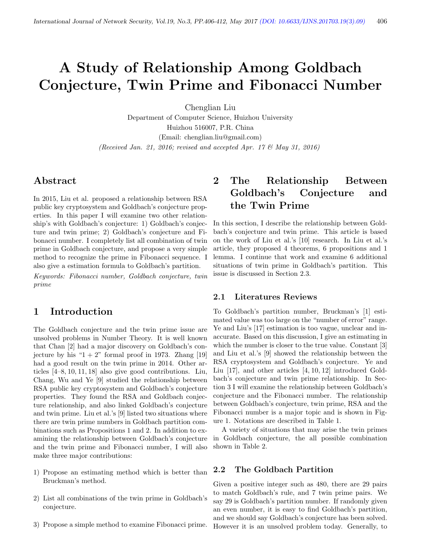# A Study of Relationship Among Goldbach Conjecture, Twin Prime and Fibonacci Number

Chenglian Liu

Department of Computer Science, Huizhou University Huizhou 516007, P.R. China (Email: chenglian.liu@gmail.com) (Received Jan. 21, 2016; revised and accepted Apr. 17 & May 31, 2016)

### Abstract

In 2015, Liu et al. proposed a relationship between RSA public key cryptosystem and Goldbach's conjecture properties. In this paper I will examine two other relationship's with Goldbach's conjecture: 1) Goldbach's conjecture and twin prime; 2) Goldbach's conjecture and Fibonacci number. I completely list all combination of twin prime in Goldbach conjecture, and propose a very simple method to recognize the prime in Fibonacci sequence. I also give a estimation formula to Goldbach's partition.

Keywords: Fibonacci number, Goldbach conjecture, twin prime

### 1 Introduction

The Goldbach conjecture and the twin prime issue are unsolved problems in Number Theory. It is well known that Chan [2] had a major discovery on Goldbach's conjecture by his " $1 + 2$ " formal proof in 1973. Zhang [19] had a good result on the twin prime in 2014. Other articles [4–8, 10, 11, 18] also give good contributions. Liu, Chang, Wu and Ye [9] studied the relationship between RSA public key cryptosystem and Goldbach's conjecture properties. They found the RSA and Goldbach conjecture relationship, and also linked Goldbach's conjecture and twin prime. Liu et al.'s [9] listed two situations where there are twin prime numbers in Goldbach partition combinations such as Propositions 1 and 2. In addition to examining the relationship between Goldbach's conjecture and the twin prime and Fibonacci number, I will also make three major contributions:

- 1) Propose an estimating method which is better than Bruckman's method.
- 2) List all combinations of the twin prime in Goldbach's conjecture.
- 3) Propose a simple method to examine Fibonacci prime.

# 2 The Relationship Between Goldbach's Conjecture and the Twin Prime

In this section, I describe the relationship between Goldbach's conjecture and twin prime. This article is based on the work of Liu et al.'s [10] research. In Liu et al.'s article, they proposed 4 theorems, 6 propositions and 1 lemma. I continue that work and examine 6 additional situations of twin prime in Goldbach's partition. This issue is discussed in Section 2.3.

#### 2.1 Literatures Reviews

To Goldbach's partition number, Bruckman's [1] estimated value was too large on the "number of error" range. Ye and Liu's [17] estimation is too vague, unclear and inaccurate. Based on this discussion, I give an estimating in which the number is closer to the true value. Constant [3] and Liu et al.'s [9] showed the relationship between the RSA cryptosystem and Goldbach's conjecture. Ye and Liu [17], and other articles [4, 10, 12] introduced Goldbach's conjecture and twin prime relationship. In Section 3 I will examine the relationship between Goldbach's conjecture and the Fibonacci number. The relationship between Goldbach's conjecture, twin prime, RSA and the Fibonacci number is a major topic and is shown in Figure 1. Notations are described in Table 1.

A variety of situations that may arise the twin primes in Goldbach conjecture, the all possible combination shown in Table 2.

#### 2.2 The Goldbach Partition

Given a positive integer such as 480, there are 29 pairs to match Goldbach's rule, and 7 twin prime pairs. We say 29 is Goldbach's partition number. If randomly given an even number, it is easy to find Goldbach's partition, and we should say Goldbach's conjecture has been solved. However it is an unsolved problem today. Generally, to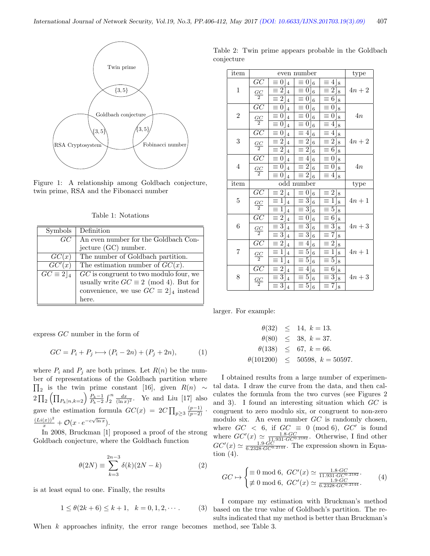

Figure 1: A relationship among Goldbach conjecture, twin prime, RSA and the Fibonacci number

|  | Table 1: Notations |
|--|--------------------|
|  |                    |

| Symbols                     | Definition                                     |
|-----------------------------|------------------------------------------------|
|                             |                                                |
| GC                          | An even number for the Goldbach Con-           |
|                             | jecture (GC) number.                           |
| GC(x)                       | The number of Goldbach partition.              |
| GC'(x)                      | The estimation number of $GC(x)$ .             |
| $\overline{GC} \equiv 2 _4$ | $GC$ is congruent to two modulo four, we       |
|                             | usually write $GC \equiv 2 \pmod{4}$ . But for |
|                             | convenience, we use $GC \equiv 2 _4$ instead   |
|                             | here.                                          |

express GC number in the form of

$$
GC = P_i + P_j \longmapsto (P_i - 2n) + (P_j + 2n),\tag{1}
$$

where  $P_i$  and  $P_j$  are both primes. Let  $R(n)$  be the number of representations of the Goldbach partition where  $\prod_2$  is the twin prime constant [16], given  $R(n) \sim$  $2\prod_{2}\left(\prod_{P_{k}|n,k=2}\right)\frac{P_{k}-1}{P_{k}-2}\int_{2}^{n}\frac{dx}{(\ln x)^{2}}$ . Ye and Liu [17] also gave the estimation formula  $GC(x) = 2C \prod_{p\geq 3} \frac{(p-1)}{(p-2)}$ .  $\frac{(Li(x))^2}{x} + \mathcal{O}(x \cdot e^{-c\sqrt{\ln x}}).$ 

In 2008, Bruckman [1] proposed a proof of the strong Goldbach conjecture, where the Goldbach function

$$
\theta(2N) \equiv \sum_{k=3}^{2n-3} \delta(k)(2N-k) \tag{2}
$$

is at least equal to one. Finally, the results

$$
1 \le \theta(2k+6) \le k+1, \quad k = 0, 1, 2, \cdots.
$$
 (3)

When  $k$  approaches infinity, the error range becomes

Table 2: Twin prime appears probable in the Goldbach conjecture

| item             |                      |                                            | even number                                  |                                                                 | type   |
|------------------|----------------------|--------------------------------------------|----------------------------------------------|-----------------------------------------------------------------|--------|
| $\mathbf{1}$     | $\overline{GC}$      | $\equiv 0 \rfloor_4$                       | $0 _6$<br>$\equiv$                           | $\equiv 4 \rfloor_8$                                            |        |
|                  | $\frac{GC}{2}$       | $\equiv 2 _4$                              | $\equiv 0 _6$                                | $\equiv 2 _8$                                                   | $4n+2$ |
|                  |                      | $\equiv 2 _4$                              | $\equiv 0 _6$                                | $\equiv 6 8$                                                    |        |
|                  | $\overline{GC}$      | $\equiv$<br>$0 _4$                         | $\equiv 0$   6                               | 0<br>$\equiv$<br>8                                              |        |
| $\overline{2}$   | $\frac{GC}{2}$       | $\equiv 0 _4$                              | $\equiv 0$   6                               | $\equiv 0 _8$                                                   | 4n     |
|                  |                      | $\equiv 0 _4$                              | $\equiv 0 \rfloor_6$                         | $\equiv 4$<br>8                                                 |        |
|                  | $\overline{GC}$      | $0 _4$<br>$\equiv$                         | $\equiv 4 \rfloor_6$                         | $4 _8$<br>Ξ                                                     |        |
| 3                | $\frac{GC}{2}$       | $\overline{2} _4$<br>$\equiv$              | $\equiv 2 \rfloor_6$                         | $\overline{2} _8$<br>$\equiv$                                   | $4n+2$ |
|                  |                      | $\equiv 2 _4$                              | $\equiv 2 \rfloor_6$                         | $\overline{6} _8$<br>$\equiv$                                   |        |
|                  | $\overline{GC}$      | $\equiv 0 _4$                              | $\equiv 4 \rfloor_6$                         | $\vert 0 \vert$<br>$\equiv$<br>$\mathbf{8}$                     |        |
| $\overline{4}$   | $\frac{GC}{2}$       | $\equiv 0 _4$                              | $\overline{\equiv 2} _6$                     | $\equiv 0 \rfloor_8$                                            | 4n     |
|                  |                      | $\equiv 0 _4$                              | $\equiv 2 \rfloor_6$                         | $\equiv 4 _8$                                                   |        |
| item             |                      |                                            | odd number                                   |                                                                 | type   |
|                  | GC<br>$\frac{GC}{2}$ | $\equiv 2 _4$                              | $\equiv 0.6$                                 | $\equiv 2 8 $                                                   |        |
| 5                |                      | $\equiv 1 _4$                              | $\equiv 3\rfloor_6$                          | $\equiv 1 _8$                                                   | $4n+1$ |
|                  |                      | $1\vert$<br>$\equiv$<br>$\overline{4}$     | $\equiv 3 \rfloor_6$                         | $5\rfloor_8$<br>Ξ                                               |        |
|                  | $\overline{GC}$      | $\equiv 2 _4$                              | $\equiv 0.6$                                 | $\equiv 6 8$                                                    |        |
| $\boldsymbol{6}$ |                      |                                            |                                              |                                                                 |        |
|                  |                      | $\equiv 3 _4$                              | $\equiv 3]_6$                                | $\overline{3}]_8$<br>$\equiv$                                   | $4n+3$ |
|                  | $\frac{GC}{2}$       | $\overline{\equiv 3 }_4$                   | $\overline{\equiv 3} _6$                     | $\equiv$<br>7 8                                                 |        |
|                  | $\overline{GC}$      | $2 _4$<br>$\equiv$                         | $\equiv 4 \rfloor_6$                         | $\overline{2} _8$<br>$\equiv$                                   |        |
| $\overline{7}$   |                      | $1 _4$<br>$\equiv$                         | $\equiv 5 \rfloor_6$                         | $1 _8$<br>$\equiv$                                              | $4n+1$ |
|                  | $\frac{GC}{2}$       | $\mathbf{1}$<br>$\equiv$<br>$\overline{4}$ | $\equiv 5 \rfloor_6$                         | $\overline{5 8}$<br>$\equiv$                                    |        |
|                  | $\overline{GC}$      | $\overline{2} _4$<br>$\equiv$              | $\equiv 4 \rfloor_6$                         | 6 8<br>E.                                                       |        |
| 8                | $\frac{GC}{2}$       | $\equiv 3 _4$<br>$\equiv 3 \rfloor_4$      | $\equiv 5 \rfloor_6$<br>$\equiv 5 \rfloor_6$ | $\overline{3}$<br>$\equiv$<br>$\overline{8}$<br>$7\,\mathrm{s}$ | $4n+3$ |

larger. For example:

$$
\theta(32) \le 14, k = 13.
$$
  
\n
$$
\theta(80) \le 38, k = 37.
$$
  
\n
$$
\theta(138) \le 67, k = 66.
$$
  
\n
$$
\theta(101200) \le 50598, k = 50597.
$$

I obtained results from a large number of experimental data. I draw the curve from the data, and then calculates the formula from the two curves (see Figures 2 and 3). I found an interesting situation which GC is congruent to zero modulo six, or congruent to non-zero modulo six. An even number GC is randomly chosen, where  $GC < 6$ , if  $GC \equiv 0 \pmod{6}$ ,  $GC'$  is found where  $GC'(x) \simeq \frac{1.8 \cdot GC}{11.931 \cdot GC^{0.2182}}$ . Otherwise, I find other  $GC'(x) \simeq \frac{1.9 \cdot GC}{6.2328 \cdot GC^{0.2144}}$ . The expression shown in Equation (4).

$$
GC \mapsto \begin{cases} \equiv 0 \bmod 6, \ G C'(x) \simeq \frac{1.8 \cdot GC}{11.931 \cdot GC^{0.2182}}. \\ \not\equiv 0 \bmod 6, \ G C'(x) \simeq \frac{1.9 \cdot GC}{6.2328 \cdot GC^{0.2144}}. \end{cases} (4)
$$

I compare my estimation with Bruckman's method based on the true value of Goldbach's partition. The results indicated that my method is better than Bruckman's method, see Table 3.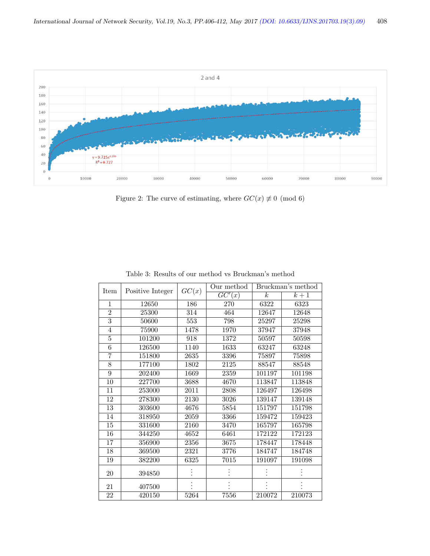

Figure 2: The curve of estimating, where  $GC(x) \neq 0 \pmod{6}$ 

|                 |                  |       | Our method          | Bruckman's method |        |  |  |
|-----------------|------------------|-------|---------------------|-------------------|--------|--|--|
| Item            | Positive Integer | GC(x) | $\overline{GC'(x)}$ | k <sub>i</sub>    | $k+1$  |  |  |
| 1               | 12650            | 186   | 270                 | 6322              | 6323   |  |  |
| $\overline{2}$  | 25300            | 314   | 464                 | 12647             | 12648  |  |  |
| $\overline{3}$  | 50600            | 553   | 798                 | 25297             | 25298  |  |  |
| $\overline{4}$  | 75900            | 1478  | 1970                | 37947             | 37948  |  |  |
| $\overline{5}$  | 101200           | 918   | 1372                | 50597             | 50598  |  |  |
| $\overline{6}$  | 126500           | 1140  | 1633                | 63247             | 63248  |  |  |
| 7               | 151800           | 2635  | 3396                | 75897             | 75898  |  |  |
| $\overline{8}$  | 177100           | 1802  | 2125                | 88547             | 88548  |  |  |
| $\overline{9}$  | 202400           | 1669  | 2359                | 101197            | 101198 |  |  |
| 10              | 227700           | 3688  | 4670                | 113847            | 113848 |  |  |
| 11              | 253000           | 2011  | 2808                | 126497            | 126498 |  |  |
| 12              | 278300           | 2130  | 3026                | 139147            | 139148 |  |  |
| $\overline{13}$ | 303600           | 4676  | 5854                | 151797            | 151798 |  |  |
| 14              | 318950           | 2059  | 3366                | 159472            | 159423 |  |  |
| 15              | 331600           | 2160  | 3470                | 165797            | 165798 |  |  |
| 16              | 344250           | 4652  | 6461                | 172122            | 172123 |  |  |
| 17              | 356900           | 2356  | 3675                | 178447            | 178448 |  |  |
| 18              | 369500           | 2321  | 3776                | 184747            | 184748 |  |  |
| 19              | 382200           | 6325  | 7015                | 191097            | 191098 |  |  |
| 20              | 394850           |       |                     |                   |        |  |  |
| 21              | 407500           |       |                     |                   |        |  |  |
| 22              | 420150           | 5264  | 7556                | 210072            | 210073 |  |  |

Table 3: Results of our method vs Bruckman's method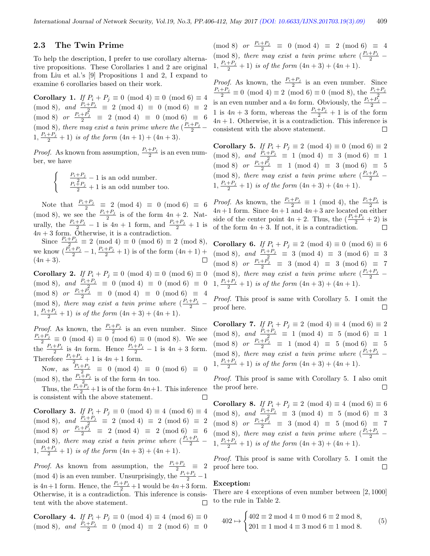#### 2.3 The Twin Prime

To help the description, I prefer to use corollary alternative propositions. These Corollaries 1 and 2 are original from Liu et al.'s [9] Propositions 1 and 2, I expand to examine 6 corollaries based on their work.

**Corollary 1.** If  $P_i + P_j \equiv 0 \pmod{4} \equiv 0 \pmod{6} \equiv 4$  $\pmod{8}, \text{ and } \frac{P_i+P_j}{r_i^2} \equiv 2 \pmod{4} \equiv 0 \pmod{6} \equiv 2$  $\pmod{8}$  or  $\frac{P_i+P_j}{2} \equiv 2 \pmod{4} \equiv 0 \pmod{6} \equiv 6$ (mod 8), there may exist a twin prime where the  $(\frac{P_i+P_j}{2} 1, \frac{P_i+P_j}{2}+1$  is of the form  $(4n+1)+(4n+3)$ .

*Proof.* As known from assumption,  $\frac{P_i+P_j}{2}$  is an even number, we have

 $\begin{cases}\n\frac{P_i + P_j}{2} - 1 \text{ is an odd number.} \\
\frac{P_i + P_j}{2} + 1 \text{ is an odd number too.}\n\end{cases}$ 

Note that  $\frac{P_i+P_j}{2} \equiv 2 \pmod{4} \equiv 0 \pmod{6} \equiv 6$ (mod 8), we see the  $\frac{P_i+P_j}{2}$  is of the form  $4n+2$ . Naturally, the  $\frac{P_i+P_j}{2}-1$  is  $4n+1$  form, and  $\frac{P_i+P_j}{2}+1$  is  $4n + 3$  form. Otherwise, it is a contradiction.

Since  $\frac{P_i + P_j}{2} \equiv 2 \pmod{4} \equiv 0 \pmod{6} \equiv 2 \pmod{8}$ , we know  $(\frac{P_i+P_j}{2}-1, \frac{P_i+P_j}{2}+1)$  is of the form  $(4n+1)$  +  $(4n + 3)$ .

**Corollary 2.** If  $P_i + P_j \equiv 0 \pmod{4} \equiv 0 \pmod{6} \equiv 0$  $\pmod{8}, \text{ and } \frac{P_i+P_j}{2} \equiv 0 \pmod{4} \equiv 0 \pmod{6} \equiv 0$  $\pmod{8}$  or  $\frac{P_i+P_j}{2} \equiv 0 \pmod{4} \equiv 0 \pmod{6} \equiv 4$ (mod 8), there may exist a twin prime where  $\left(\frac{P_i+P_j}{2}-\right)$  $1, \frac{P_i+P_j}{2}+1$  is of the form  $(4n+3)+(4n+1)$ .

*Proof.* As known, the  $\frac{P_i+P_j}{2}$  is an even number. Since  $\frac{P_i+P_j}{2} \equiv 0 \pmod{4} \equiv 0 \pmod{6} \equiv 0 \pmod{8}$ . We see the  $\frac{P_i+P_j}{2}$  is  $4n$  form. Hence  $\frac{P_i+P_j}{2}-1$  is  $4n+3$  form. Therefore  $\frac{P_i+P_j}{2}+1$  is  $4n+1$  form.

Now, as  $\frac{P_i+P_j}{2p_i} \equiv 0 \pmod{4} \equiv 0 \pmod{6} \equiv 0$ (mod 8), the  $\frac{P_i+P_j}{2}$  is of the form 4n too.

Thus, the  $\frac{P_i+P_j}{2}+1$  is of the form  $4n+1$ . This inference is consistent with the above statement.

**Corollary 3.** If  $P_i + P_j \equiv 0 \pmod{4} \equiv 4 \pmod{6} \equiv 4$  $\pmod{8}, \text{ and } \frac{P_i+P_j}{r_i^2} \equiv 2 \pmod{4} \equiv 2 \pmod{6} \equiv 2$  $\pmod{8}$  or  $\frac{P_i+P_j}{2} \equiv 2 \pmod{4} \equiv 2 \pmod{6} \equiv 6$ (mod 8), there may exist a twin prime where  $\left(\frac{P_i+P_j}{2}-\right)$  $1, \frac{P_i+P_j}{2}+1$  is of the form  $(4n+3)+(4n+1)$ .

*Proof.* As known from assumption, the  $\frac{P_i+P_j}{2} \equiv 2$ (mod 4) is an even number. Unsurprisingly, the  $\frac{P_i+P_j}{2}-1$ is  $4n+1$  form. Hence, the  $\frac{P_i+P_j}{2}+1$  would be  $4n+3$  form. Otherwise, it is a contradiction. This inference is consistent with the above statement.  $\Box$ 

**Corollary 4.** If  $P_i + P_j \equiv 0 \pmod{4} \equiv 4 \pmod{6} \equiv 0$  $\pmod{8}$ , and  $\frac{P_i+P_j}{2} \equiv 0 \pmod{4} \equiv 2 \pmod{6} \equiv 0$   $\pmod{8}$  or  $\frac{P_i+P_j}{2} \equiv 0 \pmod{4} \equiv 2 \pmod{6} \equiv 4$ (mod 8), there may exist a twin prime where  $\left(\frac{P_i+P_j}{2}-\right)$  $1, \frac{P_i+P_j}{2}+1$  is of the form  $(4n+3)+(4n+1)$ .

*Proof.* As known, the  $\frac{P_i+P_j}{2}$  is an even number. Since  $\frac{P_i+P_j}{2} \equiv 0 \pmod{4} \equiv 2 \pmod{6} \equiv 0 \pmod{8}$ , the  $\frac{P_i+P_j}{2}$  is an even number and a 4*n* form. Obviously, the  $\frac{P_i+P_j}{2}$ 1 is  $4n + 3$  form, whereas the  $\frac{P_i + P_j}{2} + 1$  is of the form  $4n + 1$ . Otherwise, it is a contradiction. This inference is consistent with the above statement.

**Corollary 5.** If  $P_i + P_j \equiv 2 \pmod{4} \equiv 0 \pmod{6} \equiv 2$  $\pmod{8}, \text{ and } \frac{P_i+P_j}{r_i^2} \equiv 1 \pmod{4} \equiv 3 \pmod{6} \equiv 1$  $\pmod{8}$  or  $\frac{P_i+P_j}{2} \equiv 1 \pmod{4} \equiv 3 \pmod{6} \equiv 5$ (mod 8), there may exist a twin prime where  $\left(\frac{P_i+P_j}{2}-\right)$  $1, \frac{P_i+P_j}{2}+1$  is of the form  $(4n+3)+(4n+1)$ .

*Proof.* As known, the  $\frac{P_i+P_j}{2} \equiv 1 \pmod{4}$ , the  $\frac{P_i+P_j}{2}$  is  $4n+1$  form. Since  $4n+1$  and  $4n+3$  are located on either side of the center point  $4n + 2$ . Thus, the  $\left(\frac{P_i + P_j}{2} + 2\right)$  is of the form  $4n + 3$ . If not, it is a contradiction.

Corollary 6. If  $P_i + P_j \equiv 2 \pmod{4} \equiv 0 \pmod{6} \equiv 6$  $\pmod{8}, \text{ and } \frac{P_i+P_j}{r_i^2} \equiv 3 \pmod{4} \equiv 3 \pmod{6} \equiv 3$  $\pmod{8}$  or  $\frac{P_i+P_j}{2} \equiv 3 \pmod{4} \equiv 3 \pmod{6} \equiv 7$ (mod 8), there may exist a twin prime where  $\left(\frac{P_i+P_j}{2}-\right)$  $1, \frac{P_i+P_j}{2}+1$  is of the form  $(4n+3)+(4n+1)$ .

Proof. This proof is same with Corollary 5. I omit the proof here.

**Corollary 7.** If  $P_i + P_j \equiv 2 \pmod{4} \equiv 4 \pmod{6} \equiv 2$  $\pmod{8}, \text{ and } \frac{P_i+P_j}{r_i^2} \equiv 1 \pmod{4} \equiv 5 \pmod{6} \equiv 1$  $\pmod{8}$  or  $\frac{P_i+P_j}{2} \equiv 1 \pmod{4} \equiv 5 \pmod{6} \equiv 5$ (mod 8), there may exist a twin prime where  $\left(\frac{P_i+P_j}{2}-\right)$  $1, \frac{P_i+P_j}{2}+1$  is of the form  $(4n+3)+(4n+1)$ .

Proof. This proof is same with Corollary 5. I also omit the proof here.  $\Box$ 

**Corollary 8.** If  $P_i + P_j \equiv 2 \pmod{4} \equiv 4 \pmod{6} \equiv 6$  $\pmod{8}$ , and  $\frac{P_i+P_j}{2} \equiv 3 \pmod{4} \equiv 5 \pmod{6} \equiv 3$  $\pmod{8}$  or  $\frac{P_i+P_j}{2} \equiv 3 \pmod{4} \equiv 5 \pmod{6} \equiv 7$ (mod 8), there may exist a twin prime where  $\left(\frac{P_i+P_j}{2}-\right)$  $1, \frac{P_i+P_j}{2}+1$  is of the form  $(4n+3)+(4n+1)$ .

Proof. This proof is same with Corollary 5. I omit the proof here too. П

#### Exception:

There are 4 exceptions of even number between [2, 1000] to the rule in Table 2.

$$
402 \mapsto \begin{cases} 402 \equiv 2 \mod 4 \equiv 0 \mod 6 \equiv 2 \mod 8, \\ 201 \equiv 1 \mod 4 \equiv 3 \mod 6 \equiv 1 \mod 8. \end{cases} (5)
$$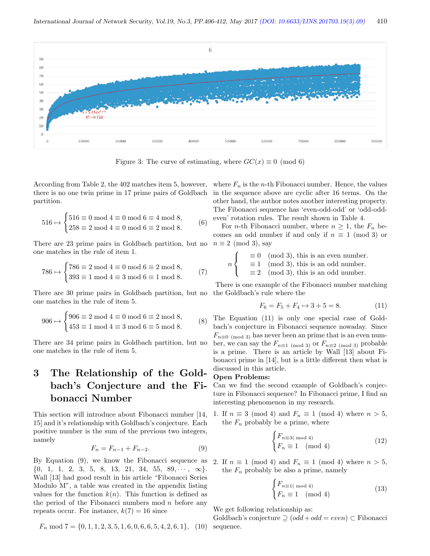

Figure 3: The curve of estimating, where  $GC(x) \equiv 0 \pmod{6}$ 

According from Table 2, the 402 matches item 5, however, there is no one twin prime in 17 prime pairs of Goldbach partition.

$$
516 \mapsto \begin{cases} 516 \equiv 0 \bmod 4 \equiv 0 \bmod 6 \equiv 4 \bmod 8, \\ 258 \equiv 2 \bmod 4 \equiv 0 \bmod 6 \equiv 2 \bmod 8. \end{cases} (6)
$$

There are 23 prime pairs in Goldbach partition, but no one matches in the rule of item 1.

$$
786 \mapsto \begin{cases} 786 \equiv 2 \mod 4 \equiv 0 \mod 6 \equiv 2 \mod 8, \\ 393 \equiv 1 \mod 4 \equiv 3 \mod 6 \equiv 1 \mod 8. \end{cases} (7)
$$

There are 30 prime pairs in Goldbach partition, but no the Goldbach's rule where the one matches in the rule of item 5.

$$
906 \mapsto \begin{cases} 906 \equiv 2 \mod 4 \equiv 0 \mod 6 \equiv 2 \mod 8, \\ 453 \equiv 1 \mod 4 \equiv 3 \mod 6 \equiv 5 \mod 8. \end{cases}
$$
 (8)

There are 34 prime pairs in Goldbach partition, but no one matches in the rule of item 5.

# 3 The Relationship of the Goldbach's Conjecture and the Fibonacci Number

This section will introduce about Fibonacci number [14, 15] and it's relationship with Goldbach's conjecture. Each positive number is the sum of the previous two integers, namely

$$
F_n = F_{n-1} + F_{n-2}.
$$
 (9)

By Equation (9), we know the Fibonacci sequence as  $\{0, 1, 1, 2, 3, 5, 8, 13, 21, 34, 55, 89, \cdots, \infty\}.$ Wall [13] had good result in his article "Fibonacci Series Modulo M", a table was created in the appendix listing values for the function  $k(n)$ . This function is defined as the period of the Fibonacci numbers mod  $n$  before any repeats occur. For instance,  $k(7) = 16$  since

$$
F_n \bmod 7 = \{0, 1, 1, 2, 3, 5, 1, 6, 0, 6, 6, 5, 4, 2, 6, 1\}, (10) \text{ s}
$$

where  $F_n$  is the *n*-th Fibonacci number. Hence, the values in the sequence above are cyclic after 16 terms. On the other hand, the author notes another interesting property. The Fibonacci sequence has 'even-odd-odd' or 'odd-oddeven' rotation rules. The result shown in Table 4.

For *n*-th Fibonacci number, where  $n \geq 1$ , the  $F_n$  becomes an odd number if and only if  $n \equiv 1 \pmod{3}$  or  $n \equiv 2 \pmod{3}$ , say

$$
n \begin{cases} \equiv 0 \pmod{3}, \text{ this is an even number.} \\ \equiv 1 \pmod{3}, \text{ this is an odd number.} \\ \equiv 2 \pmod{3}, \text{ this is an odd number.} \end{cases}
$$

There is one example of the Fibonacci number matching

$$
F_6 = F_5 + F_4 \mapsto 3 + 5 = 8. \tag{11}
$$

The Equation (11) is only one special case of Goldbach's conjecture in Fibonacci sequence nowaday. Since  $F_{n\equiv 0\pmod{3}}$  has never been an prime that is an even number, we can say the  $F_{n \equiv 1 \pmod{3}}$  or  $F_{n \equiv 2 \pmod{3}}$  probable is a prime. There is an article by Wall [13] about Fibonacci prime in [14], but is a little different then what is discussed in this article.

#### Open Problems:

Can we find the second example of Goldbach's conjecture in Fibonacci sequence? In Fibonacci prime, I find an interesting phenomenon in my research.

1. If  $n \equiv 3 \pmod{4}$  and  $F_n \equiv 1 \pmod{4}$  where  $n > 5$ , the  $F_n$  probably be a prime, where

$$
\begin{cases} F_{n \equiv 3(\text{ mod } 4)} \\ F_n \equiv 1 \pmod{4} \end{cases}
$$
 (12)

2. If  $n \equiv 1 \pmod{4}$  and  $F_n \equiv 1 \pmod{4}$  where  $n > 5$ , the  $F_n$  probably be also a prime, namely

$$
\begin{cases} F_{n \equiv 1 \pmod{4}} \\ F_n \equiv 1 \pmod{4} \end{cases}
$$
 (13)

We get following relationship as:

Goldbach's conjecture ⊇ (odd+odd = even) ⊂ Fibonacci sequence.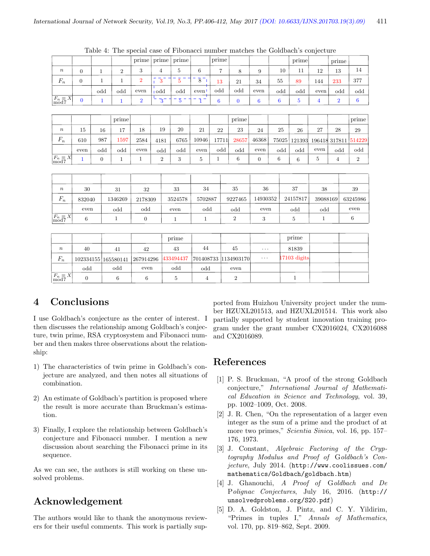|                                             |                |              |                | prime          | prime            | prime          |                                       | prime          |                |                 |       | prime          |                | prime          |                  |
|---------------------------------------------|----------------|--------------|----------------|----------------|------------------|----------------|---------------------------------------|----------------|----------------|-----------------|-------|----------------|----------------|----------------|------------------|
|                                             |                |              |                |                |                  |                |                                       |                |                |                 |       |                |                |                |                  |
| $\boldsymbol{n}$                            | $\overline{0}$ | $\mathbf{1}$ | $\overline{2}$ | 3              | 4                | 5              | 6                                     | $\overline{7}$ | 8              | 9               | 10    | 11             | 12             | 13             | 14               |
| $F_n$                                       | $\overline{0}$ | $\mathbf{1}$ | $\mathbf{1}$   | $\overline{2}$ | $\bar{3}$        | $\overline{5}$ | $\bar{8}$                             | 13             | 21             | 34              | 55    | 89             | 144            | 233            | 377              |
|                                             |                | odd          | odd            | even           | <sub>1</sub> odd | odd            | even'                                 | odd            | odd            | even            | odd   | odd            | even           | odd            | odd              |
| $\frac{F_n \equiv X}{\text{mod }7}$         | $\mathbf{0}$   | 1            | $\mathbf{1}$   | $\overline{2}$ | $3-$             | $\overline{5}$ | $\overline{\phantom{a}}$<br>$\bar{1}$ | 6              | $\bf{0}$       | $6\phantom{1}6$ | 6     | 5              | $\overline{4}$ | $\overline{2}$ | $\boldsymbol{6}$ |
|                                             |                |              |                |                |                  |                |                                       |                |                |                 |       |                |                |                |                  |
|                                             |                |              | prime          |                |                  |                |                                       |                | prime          |                 |       |                |                |                | prime            |
| $\boldsymbol{n}$                            | 15             | 16           | 17             | 18             | 19               | 20             | 21                                    | 22             | 23             | 24              | 25    | 26             | 27             | 28             | 29               |
| $F_n$                                       | 610            | 987          | 1597           | 2584           | 4181             | 6765           | 10946                                 | 17711          | 28657          | 46368           | 75025 | 121393         |                | 196418 317811  | 514229           |
|                                             | even           | odd          | odd            | even           | odd              | odd            | even                                  | odd            | odd            | even            | odd   | odd            | even           | odd            | odd              |
| $F_n \equiv X \mod 7$                       | $\mathbf{1}$   | $\mathbf{0}$ | $\mathbf{1}$   | 1              | $\boldsymbol{2}$ | 3              | 5                                     | 1              | 6              | $\overline{0}$  | 6     | 6              | $5\,$          | $\overline{4}$ | $\,2$            |
|                                             |                |              |                |                |                  |                |                                       |                |                |                 |       |                |                |                |                  |
|                                             |                |              |                |                |                  |                |                                       |                |                |                 |       |                |                |                |                  |
| $\boldsymbol{n}$                            | 30             |              | 31             | 32             |                  | 33             | 34                                    |                | 35             | 36              |       | 37             | 38             |                | 39               |
| $F_n$                                       | 832040         |              | 1346269        | 2178309        |                  | 3524578        | 5702887                               |                | 9227465        | 14930352        |       | 24157817       | 39088169       |                | 63245986         |
|                                             | even           |              | odd            | odd            |                  | even           | odd                                   |                | odd            | even            |       | odd            | odd            |                | even             |
| $\left  \frac{F_n}{\text{mod }7} X \right $ | $\,6\,$        |              | $\mathbf{1}$   | $\mathbf{0}$   |                  | $\mathbf 1$    | $\mathbf{1}$                          |                | $\overline{2}$ | 3               |       | $\overline{5}$ | 1              |                | $\boldsymbol{6}$ |

Table 4: The special case of Fibonacci number matches the Goldbach's conjecture

|                      |                     |     |                                                                          | prime |     |      |          | prime          |  |
|----------------------|---------------------|-----|--------------------------------------------------------------------------|-------|-----|------|----------|----------------|--|
| $\boldsymbol{n}$     | 40                  | 41  | 42                                                                       | 43    | 44  | 45   | $\cdots$ | 81839          |  |
| $F_n$                | 102334155 165580141 |     | $\vert 267914296 \vert 433494437 \vert 701408733 \vert 1134903170 \vert$ |       |     |      | $\ldots$ | $17103$ digits |  |
|                      | odd                 | odd | even                                                                     | odd   | odd | even |          |                |  |
| $F_n \equiv X \vert$ |                     | 6   |                                                                          |       |     |      |          |                |  |

# 4 Conclusions

I use Goldbach's conjecture as the center of interest. I then discusses the relationship among Goldbach's conjecture, twin prime, RSA cryptosystem and Fibonacci number and then makes three observations about the relationship:

- 1) The characteristics of twin prime in Goldbach's conjecture are analyzed, and then notes all situations of combination.
- 2) An estimate of Goldbach's partition is proposed where the result is more accurate than Bruckman's estimation.
- 3) Finally, I explore the relationship between Goldbach's conjecture and Fibonacci number. I mention a new discussion about searching the Fibonacci prime in its sequence.

As we can see, the authors is still working on these unsolved problems.

# Acknowledgement

The authors would like to thank the anonymous reviewers for their useful comments. This work is partially sup-

ported from Huizhou University project under the number HZUXL201513, and HZUXL201514. This work also partially supported by student innovation training program under the grant number CX2016024, CX2016088 and CX2016089.

# References

- [1] P. S. Bruckman, "A proof of the strong Goldbach conjecture," International Journal of Mathematical Education in Science and Technology, vol. 39, pp. 1002–1009, Oct. 2008.
- [2] J. R. Chen, "On the representation of a larger even integer as the sum of a prime and the product of at more two primes," Scientia Sinica, vol. 16, pp. 157– 176, 1973.
- [3] J. Constant, Algebraic Factoring of the Cryptography Modulus and Proof of Goldbach's Conjecture, July 2014. (http://www.coolissues.com/ mathematics/Goldbach/goldbach.htm)
- [4] J. Ghanouchi, A Proof of Goldbach and De Polignac Conjectures, July 16, 2016. (http:// unsolvedproblems.org/S20.pdf)
- [5] D. A. Goldston, J. Pintz, and C. Y. Yildirim, "Primes in tuples I," Annals of Mathematics, vol. 170, pp. 819–862, Sept. 2009.